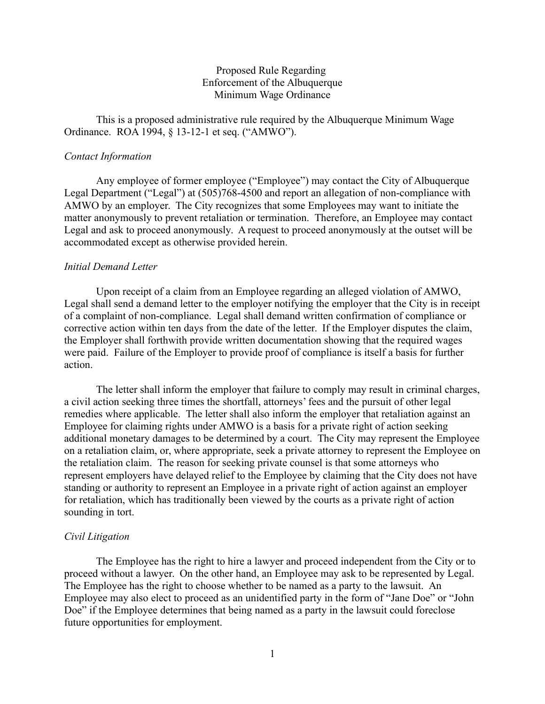## Proposed Rule Regarding Enforcement of the Albuquerque Minimum Wage Ordinance

This is a proposed administrative rule required by the Albuquerque Minimum Wage Ordinance. ROA 1994, § 13-12-1 et seq. ("AMWO").

## *Contact Information*

Any employee of former employee ("Employee") may contact the City of Albuquerque Legal Department ("Legal") at (505)768-4500 and report an allegation of non-compliance with AMWO by an employer. The City recognizes that some Employees may want to initiate the matter anonymously to prevent retaliation or termination. Therefore, an Employee may contact Legal and ask to proceed anonymously. A request to proceed anonymously at the outset will be accommodated except as otherwise provided herein.

### *Initial Demand Letter*

Upon receipt of a claim from an Employee regarding an alleged violation of AMWO, Legal shall send a demand letter to the employer notifying the employer that the City is in receipt of a complaint of non-compliance. Legal shall demand written confirmation of compliance or corrective action within ten days from the date of the letter. If the Employer disputes the claim, the Employer shall forthwith provide written documentation showing that the required wages were paid. Failure of the Employer to provide proof of compliance is itself a basis for further action.

The letter shall inform the employer that failure to comply may result in criminal charges, a civil action seeking three times the shortfall, attorneys' fees and the pursuit of other legal remedies where applicable. The letter shall also inform the employer that retaliation against an Employee for claiming rights under AMWO is a basis for a private right of action seeking additional monetary damages to be determined by a court. The City may represent the Employee on a retaliation claim, or, where appropriate, seek a private attorney to represent the Employee on the retaliation claim. The reason for seeking private counsel is that some attorneys who represent employers have delayed relief to the Employee by claiming that the City does not have standing or authority to represent an Employee in a private right of action against an employer for retaliation, which has traditionally been viewed by the courts as a private right of action sounding in tort.

#### *Civil Litigation*

The Employee has the right to hire a lawyer and proceed independent from the City or to proceed without a lawyer. On the other hand, an Employee may ask to be represented by Legal. The Employee has the right to choose whether to be named as a party to the lawsuit. An Employee may also elect to proceed as an unidentified party in the form of "Jane Doe" or "John Doe" if the Employee determines that being named as a party in the lawsuit could foreclose future opportunities for employment.